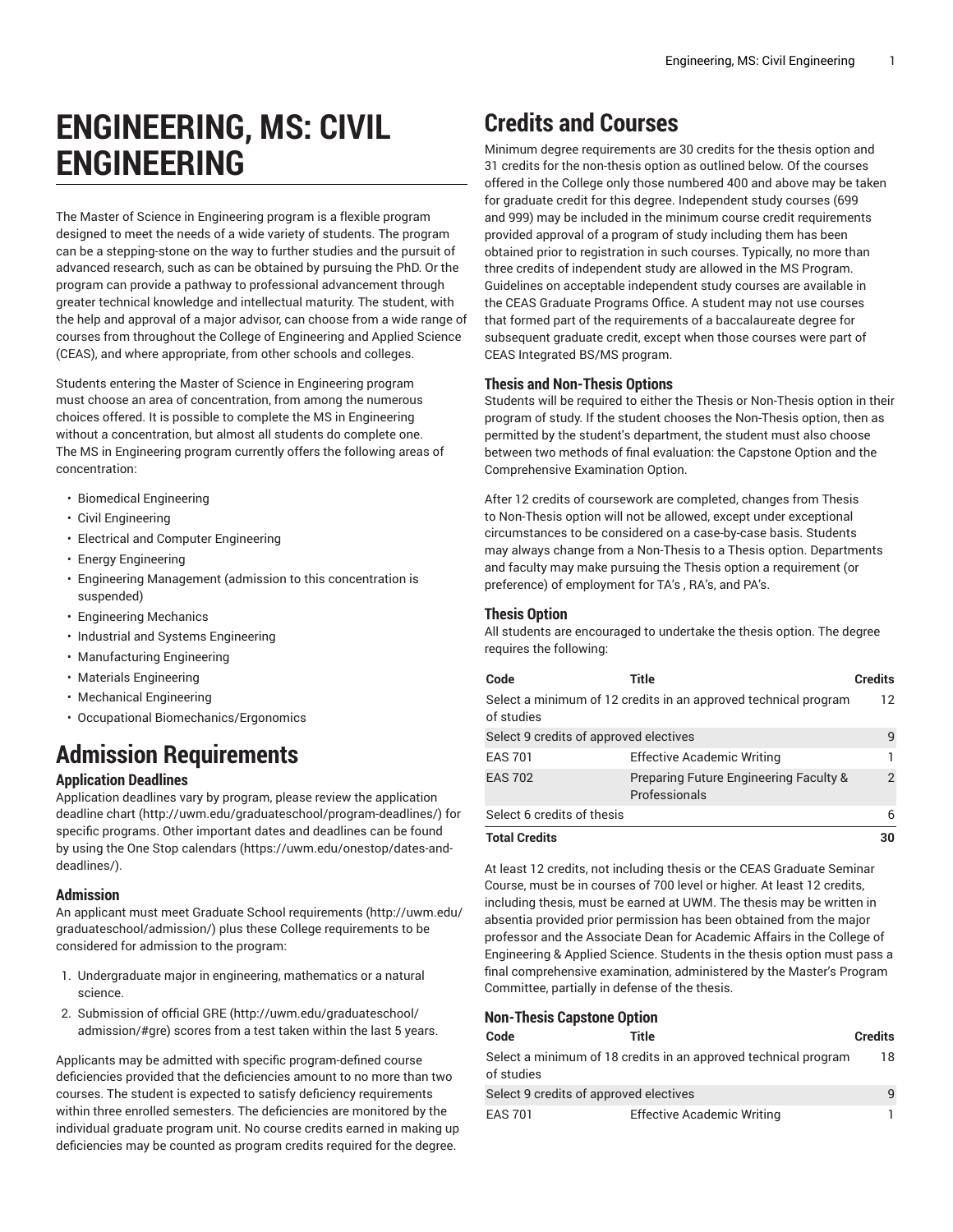# **ENGINEERING, MS: CIVIL ENGINEERING**

The Master of Science in Engineering program is a flexible program designed to meet the needs of a wide variety of students. The program can be a stepping-stone on the way to further studies and the pursuit of advanced research, such as can be obtained by pursuing the PhD. Or the program can provide a pathway to professional advancement through greater technical knowledge and intellectual maturity. The student, with the help and approval of a major advisor, can choose from a wide range of courses from throughout the College of Engineering and Applied Science (CEAS), and where appropriate, from other schools and colleges.

Students entering the Master of Science in Engineering program must choose an area of concentration, from among the numerous choices offered. It is possible to complete the MS in Engineering without a concentration, but almost all students do complete one. The MS in Engineering program currently offers the following areas of concentration:

- Biomedical Engineering
- Civil Engineering
- Electrical and Computer Engineering
- Energy Engineering
- Engineering Management (admission to this concentration is suspended)
- Engineering Mechanics
- Industrial and Systems Engineering
- Manufacturing Engineering
- Materials Engineering
- Mechanical Engineering
- Occupational Biomechanics/Ergonomics

# **Admission Requirements**

# **Application Deadlines**

Application deadlines vary by program, please review the [application](http://uwm.edu/graduateschool/program-deadlines/) [deadline](http://uwm.edu/graduateschool/program-deadlines/) chart ([http://uwm.edu/graduateschool/program-deadlines/\)](http://uwm.edu/graduateschool/program-deadlines/) for specific programs. Other important dates and deadlines can be found by using the [One Stop calendars](https://uwm.edu/onestop/dates-and-deadlines/) ([https://uwm.edu/onestop/dates-and](https://uwm.edu/onestop/dates-and-deadlines/)[deadlines/\)](https://uwm.edu/onestop/dates-and-deadlines/).

# **Admission**

An applicant must meet Graduate School [requirements](http://uwm.edu/graduateschool/admission/) ([http://uwm.edu/](http://uwm.edu/graduateschool/admission/) [graduateschool/admission/](http://uwm.edu/graduateschool/admission/)) plus these College requirements to be considered for admission to the program:

- 1. Undergraduate major in engineering, mathematics or a natural science.
- 2. Submission of official [GRE \(http://uwm.edu/graduateschool/](http://uwm.edu/graduateschool/admission/#gre) [admission/#gre](http://uwm.edu/graduateschool/admission/#gre)) scores from a test taken within the last 5 years.

Applicants may be admitted with specific program-defined course deficiencies provided that the deficiencies amount to no more than two courses. The student is expected to satisfy deficiency requirements within three enrolled semesters. The deficiencies are monitored by the individual graduate program unit. No course credits earned in making up deficiencies may be counted as program credits required for the degree.

# **Credits and Courses**

Minimum degree requirements are 30 credits for the thesis option and 31 credits for the non-thesis option as outlined below. Of the courses offered in the College only those numbered 400 and above may be taken for graduate credit for this degree. Independent study courses (699 and 999) may be included in the minimum course credit requirements provided approval of a program of study including them has been obtained prior to registration in such courses. Typically, no more than three credits of independent study are allowed in the MS Program. Guidelines on acceptable independent study courses are available in the CEAS Graduate Programs Office. A student may not use courses that formed part of the requirements of a baccalaureate degree for subsequent graduate credit, except when those courses were part of CEAS Integrated BS/MS program.

# **Thesis and Non-Thesis Options**

Students will be required to either the Thesis or Non-Thesis option in their program of study. If the student chooses the Non-Thesis option, then as permitted by the student's department, the student must also choose between two methods of final evaluation: the Capstone Option and the Comprehensive Examination Option.

After 12 credits of coursework are completed, changes from Thesis to Non-Thesis option will not be allowed, except under exceptional circumstances to be considered on a case-by-case basis. Students may always change from a Non-Thesis to a Thesis option. Departments and faculty may make pursuing the Thesis option a requirement (or preference) of employment for TA's , RA's, and PA's.

### **Thesis Option**

All students are encouraged to undertake the thesis option. The degree requires the following:

| Code                                   | Title                                                           | <b>Credits</b> |
|----------------------------------------|-----------------------------------------------------------------|----------------|
| of studies                             | Select a minimum of 12 credits in an approved technical program | 12             |
| Select 9 credits of approved electives |                                                                 | 9              |
| <b>EAS 701</b>                         | <b>Effective Academic Writing</b>                               |                |
| <b>EAS 702</b>                         | Preparing Future Engineering Faculty &<br>Professionals         | $\overline{2}$ |
| Select 6 credits of thesis             |                                                                 | 6              |
| <b>Total Credits</b>                   |                                                                 | 30             |

At least 12 credits, not including thesis or the CEAS Graduate Seminar Course, must be in courses of 700 level or higher. At least 12 credits, including thesis, must be earned at UWM. The thesis may be written in absentia provided prior permission has been obtained from the major professor and the Associate Dean for Academic Affairs in the College of Engineering & Applied Science. Students in the thesis option must pass a final comprehensive examination, administered by the Master's Program Committee, partially in defense of the thesis.

# **Non-Thesis Capstone Option**

| Code                                                                          | Title                             | <b>Credits</b> |
|-------------------------------------------------------------------------------|-----------------------------------|----------------|
| Select a minimum of 18 credits in an approved technical program<br>of studies |                                   |                |
| Select 9 credits of approved electives                                        |                                   | q              |
| <b>EAS 701</b>                                                                | <b>Effective Academic Writing</b> |                |